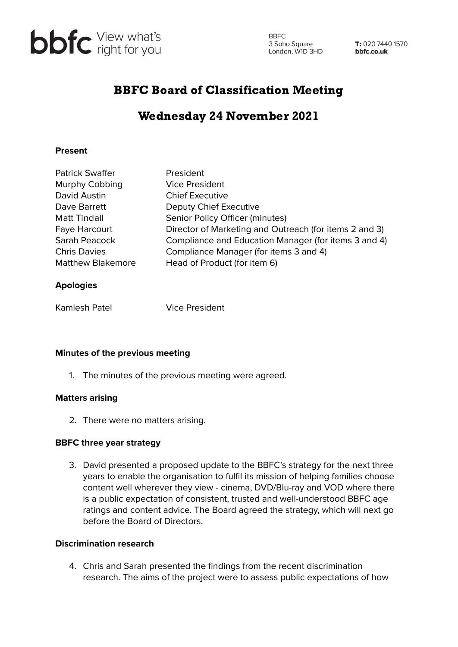

**BBFC** 3 Soho Square<br>
London, W1D 3HD<br> **bbfc.co.uk** 

T: 020 7440 1570

# BBFC Board of Classification Meeting

# Wednesday 24 November 2021

# **Present**

| <b>Patrick Swaffer</b>   | President                                              |
|--------------------------|--------------------------------------------------------|
| Murphy Cobbing           | <b>Vice President</b>                                  |
| David Austin             | <b>Chief Executive</b>                                 |
| Dave Barrett             | Deputy Chief Executive                                 |
| Matt Tindall             | Senior Policy Officer (minutes)                        |
| Faye Harcourt            | Director of Marketing and Outreach (for items 2 and 3) |
| Sarah Peacock            | Compliance and Education Manager (for items 3 and 4)   |
| <b>Chris Davies</b>      | Compliance Manager (for items 3 and 4)                 |
| <b>Matthew Blakemore</b> | Head of Product (for item 6)                           |
|                          |                                                        |

## **Apologies**

Kamlesh Patel Vice President

#### **Minutes of the previous meeting**

1. The minutes of the previous meeting were agreed.

#### **Matters arising**

2. There were no matters arising.

#### **BBFC three year strategy**

3. David presented a proposed update to the BBFC's strategy for the next three years to enable the organisation to fulfil its mission of helping families choose content well wherever they view - cinema, DVD/Blu-ray and VOD where there is a public expectation of consistent, trusted and well-understood BBFC age ratings and content advice. The Board agreed the strategy, which will next go before the Board of Directors.

## **Discrimination research**

4. Chris and Sarah presented the findings from the recent discrimination research. The aims of the project were to assess public expectations of how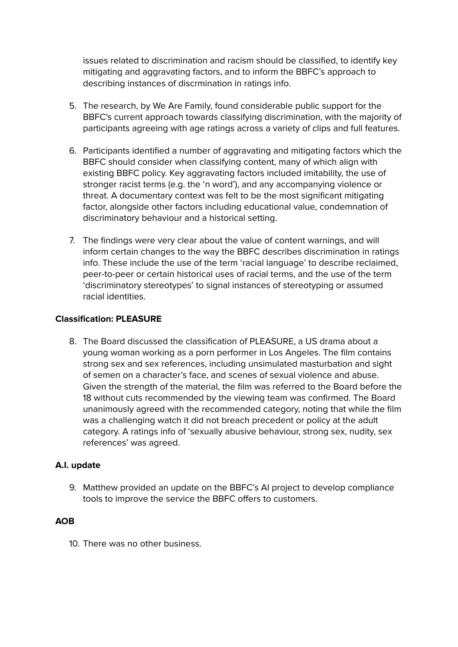issues related to discrimination and racism should be classified, to identify key mitigating and aggravating factors, and to inform the BBFC's approach to describing instances of discrmination in ratings info.

- 5. The research, by We Are Family, found considerable public support for the BBFC's current approach towards classifying discrimination, with the majority of participants agreeing with age ratings across a variety of clips and full features.
- 6. Participants identified a number of aggravating and mitigating factors which the BBFC should consider when classifying content, many of which align with existing BBFC policy. Key aggravating factors included imitability, the use of stronger racist terms (e.g. the 'n word'), and any accompanying violence or threat. A documentary context was felt to be the most significant mitigating factor, alongside other factors including educational value, condemnation of discriminatory behaviour and a historical setting.
- 7. The findings were very clear about the value of content warnings, and will inform certain changes to the way the BBFC describes discrimination in ratings info. These include the use of the term 'racial language' to describe reclaimed, peer-to-peer or certain historical uses of racial terms, and the use of the term 'discriminatory stereotypes' to signal instances of stereotyping or assumed racial identities.

## **Classification: PLEASURE**

8. The Board discussed the classification of PLEASURE, a US drama about a young woman working as a porn performer in Los Angeles. The film contains strong sex and sex references, including unsimulated masturbation and sight of semen on a character's face, and scenes of sexual violence and abuse. Given the strength of the material, the film was referred to the Board before the 18 without cuts recommended by the viewing team was confirmed. The Board unanimously agreed with the recommended category, noting that while the film was a challenging watch it did not breach precedent or policy at the adult category. A ratings info of 'sexually abusive behaviour, strong sex, nudity, sex references' was agreed.

# **A.I. update**

9. Matthew provided an update on the BBFC's AI project to develop compliance tools to improve the service the BBFC offers to customers.

# **AOB**

10. There was no other business.